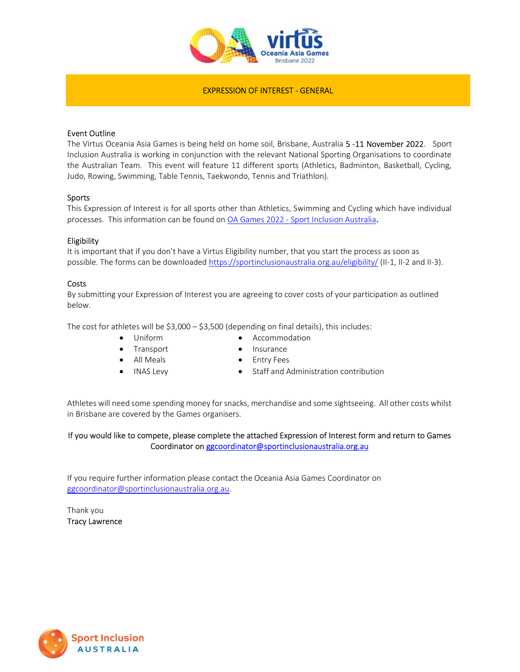

## EXPRESSION OF INTEREST - GENERAL

## Event Outline

The Virtus Oceania Asia Games is being held on home soil, Brisbane, Australia 5-11 November 2022. Sport Inclusion Australia is working in conjunction with the relevant National Sporting Organisations to coordinate the Australian Team. This event will feature 11 different sports (Athletics, Badminton, Basketball, Cycling, Judo, Rowing, Swimming, Table Tennis, Taekwondo, Tennis and Triathlon).

#### Sports

This Expression of Interest is for all sports other than Athletics, Swimming and Cycling which have individual processes. This information can be found on OA Games 2022 - Sport Inclusion Australia.

## Eligibility

It is important that if you don't have a Virtus Eligibility number, that you start the process as soon as possible. The forms can be downloaded https://sportinclusionaustralia.org.au/eligibility/ (II-1, II-2 and II-3).

#### **Costs**

By submitting your Expression of Interest you are agreeing to cover costs of your participation as outlined below.

The cost for athletes will be  $$3,000 - $3,500$  (depending on final details), this includes:

- Uniform Accommodation
- Transport **•** Insurance
- All Meals **•** Entry Fees
- 
- 
- INAS Levy **•** Staff and Administration contribution

Athletes will need some spending money for snacks, merchandise and some sightseeing. All other costs whilst in Brisbane are covered by the Games organisers.

# If you would like to compete, please complete the attached Expression of Interest form and return to Games Coordinator on ggcoordinator@sportinclusionaustralia.org.au

If you require further information please contact the Oceania Asia Games Coordinator on ggcoordinator@sportinclusionaustralia.org.au.

Thank you Tracy Lawrence